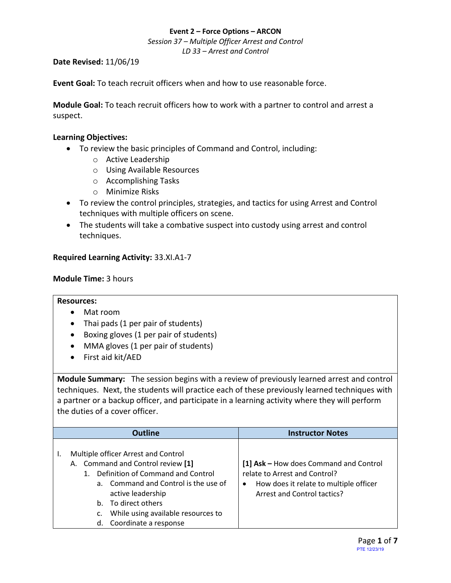*Session 37 – Multiple Officer Arrest and Control LD 33 – Arrest and Control*

#### **Date Revised:** 11/06/19

**Event Goal:** To teach recruit officers when and how to use reasonable force.

**Module Goal:** To teach recruit officers how to work with a partner to control and arrest a suspect.

#### **Learning Objectives:**

- To review the basic principles of Command and Control, including:
	- o Active Leadership
	- o Using Available Resources
	- o Accomplishing Tasks
	- o Minimize Risks
- To review the control principles, strategies, and tactics for using Arrest and Control techniques with multiple officers on scene.
- The students will take a combative suspect into custody using arrest and control techniques.

#### <span id="page-0-0"></span>**[Required Learning Activity:](#page-6-0)** 33.XI.A1-7

#### **Module Time:** 3 hours

#### **Resources:**

- Mat room
- Thai pads (1 per pair of students)
- Boxing gloves (1 per pair of students)
- MMA gloves (1 per pair of students)
- First aid kit/AED

**Module Summary:** The session begins with a review of previously learned arrest and control techniques. Next, the students will practice each of these previously learned techniques with a partner or a backup officer, and participate in a learning activity where they will perform the duties of a cover officer.

|                      | <b>Outline</b>                                                                                                                                                                                                                                             | <b>Instructor Notes</b>                                                                                                                               |
|----------------------|------------------------------------------------------------------------------------------------------------------------------------------------------------------------------------------------------------------------------------------------------------|-------------------------------------------------------------------------------------------------------------------------------------------------------|
| a.<br>b.<br>c.<br>d. | Multiple officer Arrest and Control<br>A. Command and Control review [1]<br>Definition of Command and Control<br>Command and Control is the use of<br>active leadership<br>To direct others<br>While using available resources to<br>Coordinate a response | [1] Ask - How does Command and Control<br>relate to Arrest and Control?<br>How does it relate to multiple officer<br>٠<br>Arrest and Control tactics? |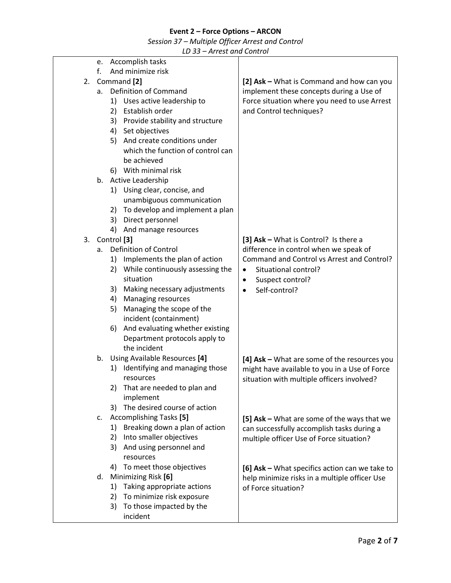*Session 37 – Multiple Officer Arrest and Control*

|    |    | ככ שב<br>micsuund conu oi                                      |                                                |
|----|----|----------------------------------------------------------------|------------------------------------------------|
|    | e. | Accomplish tasks                                               |                                                |
|    | f. | And minimize risk                                              |                                                |
| 2. |    | Command [2]                                                    | [2] Ask - What is Command and how can you      |
|    | а. | Definition of Command                                          | implement these concepts during a Use of       |
|    |    | 1) Uses active leadership to                                   | Force situation where you need to use Arrest   |
|    |    | 2) Establish order                                             | and Control techniques?                        |
|    |    | 3) Provide stability and structure                             |                                                |
|    |    | 4) Set objectives                                              |                                                |
|    |    | 5) And create conditions under                                 |                                                |
|    |    | which the function of control can                              |                                                |
|    |    | be achieved                                                    |                                                |
|    |    | 6) With minimal risk                                           |                                                |
|    |    | b. Active Leadership                                           |                                                |
|    |    | 1) Using clear, concise, and                                   |                                                |
|    |    | unambiguous communication                                      |                                                |
|    |    | 2) To develop and implement a plan                             |                                                |
|    |    | 3) Direct personnel<br>4) And manage resources                 |                                                |
| 3. |    | Control [3]                                                    | [3] Ask - What is Control? Is there a          |
|    | a. | Definition of Control                                          | difference in control when we speak of         |
|    |    | 1) Implements the plan of action                               | Command and Control vs Arrest and Control?     |
|    |    | 2) While continuously assessing the                            | Situational control?<br>$\bullet$              |
|    |    | situation                                                      | Suspect control?<br>٠                          |
|    |    | 3) Making necessary adjustments                                | Self-control?<br>$\bullet$                     |
|    |    | 4) Managing resources                                          |                                                |
|    |    | Managing the scope of the<br>5)                                |                                                |
|    |    | incident (containment)                                         |                                                |
|    |    | And evaluating whether existing<br>6)                          |                                                |
|    |    | Department protocols apply to                                  |                                                |
|    |    | the incident                                                   |                                                |
|    | b. | Using Available Resources [4]                                  | [4] Ask - What are some of the resources you   |
|    |    | Identifying and managing those<br>1)                           | might have available to you in a Use of Force  |
|    |    | resources                                                      | situation with multiple officers involved?     |
|    |    | That are needed to plan and<br>2)                              |                                                |
|    |    | implement                                                      |                                                |
|    |    | The desired course of action<br>3)                             |                                                |
|    | c. | <b>Accomplishing Tasks [5]</b>                                 | [5] Ask - What are some of the ways that we    |
|    |    | Breaking down a plan of action<br>1)                           | can successfully accomplish tasks during a     |
|    |    | Into smaller objectives<br>2)                                  | multiple officer Use of Force situation?       |
|    |    | 3) And using personnel and                                     |                                                |
|    |    | resources                                                      |                                                |
|    |    | 4) To meet those objectives                                    | [6] Ask - What specifics action can we take to |
|    | d. | Minimizing Risk [6]                                            | help minimize risks in a multiple officer Use  |
|    |    | Taking appropriate actions<br>1)                               | of Force situation?                            |
|    |    | To minimize risk exposure<br>2)<br>3) To those impacted by the |                                                |
|    |    | incident                                                       |                                                |
|    |    |                                                                |                                                |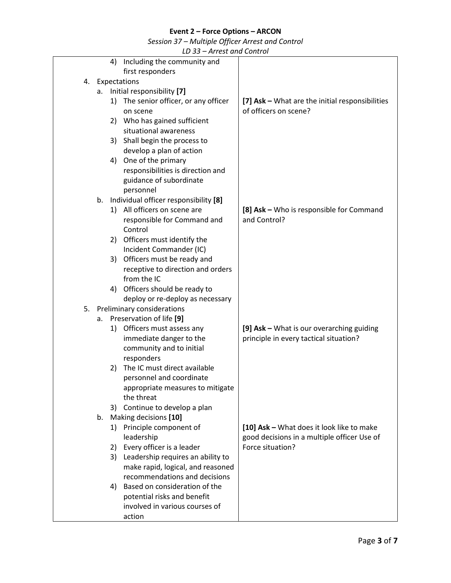*Session 37 – Multiple Officer Arrest and Control*

|    | 4)           | Including the community and              |                                                 |
|----|--------------|------------------------------------------|-------------------------------------------------|
|    |              | first responders                         |                                                 |
| 4. | Expectations |                                          |                                                 |
|    | а.           | Initial responsibility [7]               |                                                 |
|    | 1)           | The senior officer, or any officer       | [7] Ask - What are the initial responsibilities |
|    |              | on scene                                 | of officers on scene?                           |
|    | 2)           | Who has gained sufficient                |                                                 |
|    |              | situational awareness                    |                                                 |
|    | 3)           | Shall begin the process to               |                                                 |
|    |              | develop a plan of action                 |                                                 |
|    | 4)           | One of the primary                       |                                                 |
|    |              | responsibilities is direction and        |                                                 |
|    |              | guidance of subordinate                  |                                                 |
|    |              | personnel                                |                                                 |
|    |              | b. Individual officer responsibility [8] |                                                 |
|    |              | 1) All officers on scene are             | [8] Ask - Who is responsible for Command        |
|    |              | responsible for Command and              | and Control?                                    |
|    |              | Control                                  |                                                 |
|    |              | 2) Officers must identify the            |                                                 |
|    |              | Incident Commander (IC)                  |                                                 |
|    |              | 3) Officers must be ready and            |                                                 |
|    |              | receptive to direction and orders        |                                                 |
|    |              | from the IC                              |                                                 |
|    |              | 4) Officers should be ready to           |                                                 |
|    |              | deploy or re-deploy as necessary         |                                                 |
| 5. |              | Preliminary considerations               |                                                 |
|    |              | a. Preservation of life [9]              |                                                 |
|    |              | 1) Officers must assess any              | [9] Ask - What is our overarching guiding       |
|    |              | immediate danger to the                  | principle in every tactical situation?          |
|    |              | community and to initial                 |                                                 |
|    |              | responders                               |                                                 |
|    | 2)           | The IC must direct available             |                                                 |
|    |              | personnel and coordinate                 |                                                 |
|    |              | appropriate measures to mitigate         |                                                 |
|    |              | the threat                               |                                                 |
|    |              | 3) Continue to develop a plan            |                                                 |
|    | b.           | Making decisions [10]                    |                                                 |
|    | 1)           | Principle component of                   | [10] Ask - What does it look like to make       |
|    |              | leadership                               | good decisions in a multiple officer Use of     |
|    | 2)           | Every officer is a leader                | Force situation?                                |
|    |              | 3) Leadership requires an ability to     |                                                 |
|    |              | make rapid, logical, and reasoned        |                                                 |
|    |              | recommendations and decisions            |                                                 |
|    | 4)           | Based on consideration of the            |                                                 |
|    |              | potential risks and benefit              |                                                 |
|    |              | involved in various courses of           |                                                 |
|    |              | action                                   |                                                 |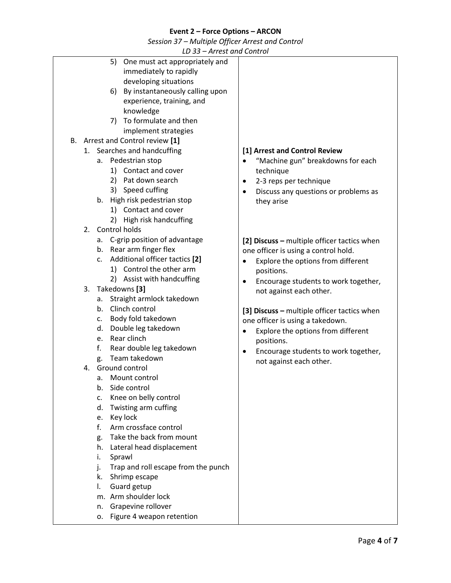*Session 37 – Multiple Officer Arrest and Control*

| LD 33 – Arrest and Control                |                                                   |
|-------------------------------------------|---------------------------------------------------|
| 5)<br>One must act appropriately and      |                                                   |
| immediately to rapidly                    |                                                   |
| developing situations                     |                                                   |
| 6) By instantaneously calling upon        |                                                   |
|                                           |                                                   |
| experience, training, and                 |                                                   |
| knowledge                                 |                                                   |
| 7) To formulate and then                  |                                                   |
| implement strategies                      |                                                   |
| B. Arrest and Control review [1]          |                                                   |
| 1. Searches and handcuffing               | [1] Arrest and Control Review                     |
|                                           |                                                   |
| a. Pedestrian stop                        | "Machine gun" breakdowns for each                 |
| 1) Contact and cover                      | technique                                         |
| 2) Pat down search                        | 2-3 reps per technique<br>$\bullet$               |
| 3) Speed cuffing                          | Discuss any questions or problems as<br>$\bullet$ |
| b. High risk pedestrian stop              | they arise                                        |
| 1) Contact and cover                      |                                                   |
| 2) High risk handcuffing                  |                                                   |
|                                           |                                                   |
| Control holds<br>2.                       |                                                   |
| a. C-grip position of advantage           | [2] Discuss - multiple officer tactics when       |
| b. Rear arm finger flex                   | one officer is using a control hold.              |
| Additional officer tactics [2]<br>c.      | Explore the options from different<br>$\bullet$   |
| 1) Control the other arm                  | positions.                                        |
| 2) Assist with handcuffing                |                                                   |
| 3.<br>Takedowns [3]                       | Encourage students to work together,              |
|                                           | not against each other.                           |
| Straight armlock takedown<br>а.           |                                                   |
| b. Clinch control                         | [3] Discuss - multiple officer tactics when       |
| Body fold takedown<br>c.                  | one officer is using a takedown.                  |
| Double leg takedown<br>d.                 | Explore the options from different<br>$\bullet$   |
| Rear clinch<br>e.                         | positions.                                        |
| f.<br>Rear double leg takedown            | Encourage students to work together,<br>٠         |
| Team takedown<br>g.                       |                                                   |
| 4. Ground control                         | not against each other.                           |
|                                           |                                                   |
| Mount control<br>а.                       |                                                   |
| Side control<br>b.                        |                                                   |
| Knee on belly control<br>c.               |                                                   |
| Twisting arm cuffing<br>d.                |                                                   |
| Key lock<br>e.                            |                                                   |
| f.<br>Arm crossface control               |                                                   |
| Take the back from mount<br>g.            |                                                   |
| h.<br>Lateral head displacement           |                                                   |
|                                           |                                                   |
| Sprawl<br>i.                              |                                                   |
| Trap and roll escape from the punch<br>j. |                                                   |
| Shrimp escape<br>k.                       |                                                   |
| Guard getup<br>I.                         |                                                   |
| m. Arm shoulder lock                      |                                                   |
| Grapevine rollover<br>n.                  |                                                   |
| Figure 4 weapon retention<br>о.           |                                                   |
|                                           |                                                   |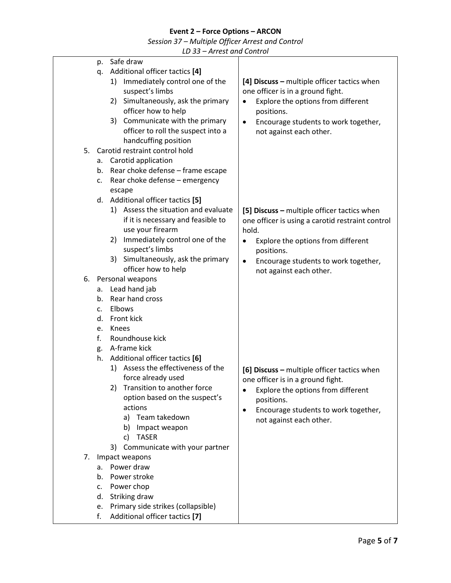*Session 37 – Multiple Officer Arrest and Control*

| Safe draw<br>p.<br>Additional officer tactics [4]<br>q.<br>Immediately control one of the<br>[4] Discuss - multiple officer tactics when<br>1)<br>suspect's limbs<br>one officer is in a ground fight.<br>Simultaneously, ask the primary<br>Explore the options from different<br>2)<br>٠<br>officer how to help<br>positions.<br>Communicate with the primary<br>3)<br>Encourage students to work together,<br>$\bullet$<br>officer to roll the suspect into a<br>not against each other.<br>handcuffing position<br>Carotid restraint control hold<br>5.<br>Carotid application<br>a.<br>Rear choke defense - frame escape<br>b.<br>Rear choke defense - emergency<br>c.<br>escape<br>Additional officer tactics [5]<br>d.<br>1) Assess the situation and evaluate<br>[5] Discuss - multiple officer tactics when<br>if it is necessary and feasible to<br>one officer is using a carotid restraint control<br>use your firearm<br>hold.<br>Immediately control one of the<br>2)<br>Explore the options from different<br>٠<br>suspect's limbs<br>positions.<br>Simultaneously, ask the primary<br>3)<br>Encourage students to work together,<br>$\bullet$<br>officer how to help<br>not against each other.<br>6. Personal weapons<br>Lead hand jab<br>а.<br>Rear hand cross<br>$b_{-}$<br>Elbows<br>C.<br>Front kick<br>d.<br>Knees<br>e.<br>Roundhouse kick<br>f.<br>A-frame kick<br>g.<br>Additional officer tactics [6]<br>h.<br>Assess the effectiveness of the<br>1)<br>[6] Discuss - multiple officer tactics when<br>force already used<br>one officer is in a ground fight.<br>Transition to another force<br>2)<br>Explore the options from different<br>option based on the suspect's<br>positions.<br>actions<br>Encourage students to work together,<br>a) Team takedown<br>not against each other.<br>Impact weapon<br>b)<br><b>TASER</b><br>c)<br>Communicate with your partner<br>3)<br>Impact weapons<br>7.<br>a. Power draw<br>Power stroke<br>b.<br>Power chop<br>c. | <b>THE COLUMN CONTROL</b> |  |
|---------------------------------------------------------------------------------------------------------------------------------------------------------------------------------------------------------------------------------------------------------------------------------------------------------------------------------------------------------------------------------------------------------------------------------------------------------------------------------------------------------------------------------------------------------------------------------------------------------------------------------------------------------------------------------------------------------------------------------------------------------------------------------------------------------------------------------------------------------------------------------------------------------------------------------------------------------------------------------------------------------------------------------------------------------------------------------------------------------------------------------------------------------------------------------------------------------------------------------------------------------------------------------------------------------------------------------------------------------------------------------------------------------------------------------------------------------------------------------------------------------------------------------------------------------------------------------------------------------------------------------------------------------------------------------------------------------------------------------------------------------------------------------------------------------------------------------------------------------------------------------------------------------------------------------------------------------------------------------------------|---------------------------|--|
|                                                                                                                                                                                                                                                                                                                                                                                                                                                                                                                                                                                                                                                                                                                                                                                                                                                                                                                                                                                                                                                                                                                                                                                                                                                                                                                                                                                                                                                                                                                                                                                                                                                                                                                                                                                                                                                                                                                                                                                             |                           |  |
|                                                                                                                                                                                                                                                                                                                                                                                                                                                                                                                                                                                                                                                                                                                                                                                                                                                                                                                                                                                                                                                                                                                                                                                                                                                                                                                                                                                                                                                                                                                                                                                                                                                                                                                                                                                                                                                                                                                                                                                             |                           |  |
|                                                                                                                                                                                                                                                                                                                                                                                                                                                                                                                                                                                                                                                                                                                                                                                                                                                                                                                                                                                                                                                                                                                                                                                                                                                                                                                                                                                                                                                                                                                                                                                                                                                                                                                                                                                                                                                                                                                                                                                             |                           |  |
|                                                                                                                                                                                                                                                                                                                                                                                                                                                                                                                                                                                                                                                                                                                                                                                                                                                                                                                                                                                                                                                                                                                                                                                                                                                                                                                                                                                                                                                                                                                                                                                                                                                                                                                                                                                                                                                                                                                                                                                             |                           |  |
|                                                                                                                                                                                                                                                                                                                                                                                                                                                                                                                                                                                                                                                                                                                                                                                                                                                                                                                                                                                                                                                                                                                                                                                                                                                                                                                                                                                                                                                                                                                                                                                                                                                                                                                                                                                                                                                                                                                                                                                             |                           |  |
|                                                                                                                                                                                                                                                                                                                                                                                                                                                                                                                                                                                                                                                                                                                                                                                                                                                                                                                                                                                                                                                                                                                                                                                                                                                                                                                                                                                                                                                                                                                                                                                                                                                                                                                                                                                                                                                                                                                                                                                             |                           |  |
|                                                                                                                                                                                                                                                                                                                                                                                                                                                                                                                                                                                                                                                                                                                                                                                                                                                                                                                                                                                                                                                                                                                                                                                                                                                                                                                                                                                                                                                                                                                                                                                                                                                                                                                                                                                                                                                                                                                                                                                             |                           |  |
|                                                                                                                                                                                                                                                                                                                                                                                                                                                                                                                                                                                                                                                                                                                                                                                                                                                                                                                                                                                                                                                                                                                                                                                                                                                                                                                                                                                                                                                                                                                                                                                                                                                                                                                                                                                                                                                                                                                                                                                             |                           |  |
|                                                                                                                                                                                                                                                                                                                                                                                                                                                                                                                                                                                                                                                                                                                                                                                                                                                                                                                                                                                                                                                                                                                                                                                                                                                                                                                                                                                                                                                                                                                                                                                                                                                                                                                                                                                                                                                                                                                                                                                             |                           |  |
|                                                                                                                                                                                                                                                                                                                                                                                                                                                                                                                                                                                                                                                                                                                                                                                                                                                                                                                                                                                                                                                                                                                                                                                                                                                                                                                                                                                                                                                                                                                                                                                                                                                                                                                                                                                                                                                                                                                                                                                             |                           |  |
|                                                                                                                                                                                                                                                                                                                                                                                                                                                                                                                                                                                                                                                                                                                                                                                                                                                                                                                                                                                                                                                                                                                                                                                                                                                                                                                                                                                                                                                                                                                                                                                                                                                                                                                                                                                                                                                                                                                                                                                             |                           |  |
|                                                                                                                                                                                                                                                                                                                                                                                                                                                                                                                                                                                                                                                                                                                                                                                                                                                                                                                                                                                                                                                                                                                                                                                                                                                                                                                                                                                                                                                                                                                                                                                                                                                                                                                                                                                                                                                                                                                                                                                             |                           |  |
|                                                                                                                                                                                                                                                                                                                                                                                                                                                                                                                                                                                                                                                                                                                                                                                                                                                                                                                                                                                                                                                                                                                                                                                                                                                                                                                                                                                                                                                                                                                                                                                                                                                                                                                                                                                                                                                                                                                                                                                             |                           |  |
|                                                                                                                                                                                                                                                                                                                                                                                                                                                                                                                                                                                                                                                                                                                                                                                                                                                                                                                                                                                                                                                                                                                                                                                                                                                                                                                                                                                                                                                                                                                                                                                                                                                                                                                                                                                                                                                                                                                                                                                             |                           |  |
|                                                                                                                                                                                                                                                                                                                                                                                                                                                                                                                                                                                                                                                                                                                                                                                                                                                                                                                                                                                                                                                                                                                                                                                                                                                                                                                                                                                                                                                                                                                                                                                                                                                                                                                                                                                                                                                                                                                                                                                             |                           |  |
|                                                                                                                                                                                                                                                                                                                                                                                                                                                                                                                                                                                                                                                                                                                                                                                                                                                                                                                                                                                                                                                                                                                                                                                                                                                                                                                                                                                                                                                                                                                                                                                                                                                                                                                                                                                                                                                                                                                                                                                             |                           |  |
|                                                                                                                                                                                                                                                                                                                                                                                                                                                                                                                                                                                                                                                                                                                                                                                                                                                                                                                                                                                                                                                                                                                                                                                                                                                                                                                                                                                                                                                                                                                                                                                                                                                                                                                                                                                                                                                                                                                                                                                             |                           |  |
|                                                                                                                                                                                                                                                                                                                                                                                                                                                                                                                                                                                                                                                                                                                                                                                                                                                                                                                                                                                                                                                                                                                                                                                                                                                                                                                                                                                                                                                                                                                                                                                                                                                                                                                                                                                                                                                                                                                                                                                             |                           |  |
|                                                                                                                                                                                                                                                                                                                                                                                                                                                                                                                                                                                                                                                                                                                                                                                                                                                                                                                                                                                                                                                                                                                                                                                                                                                                                                                                                                                                                                                                                                                                                                                                                                                                                                                                                                                                                                                                                                                                                                                             |                           |  |
|                                                                                                                                                                                                                                                                                                                                                                                                                                                                                                                                                                                                                                                                                                                                                                                                                                                                                                                                                                                                                                                                                                                                                                                                                                                                                                                                                                                                                                                                                                                                                                                                                                                                                                                                                                                                                                                                                                                                                                                             |                           |  |
|                                                                                                                                                                                                                                                                                                                                                                                                                                                                                                                                                                                                                                                                                                                                                                                                                                                                                                                                                                                                                                                                                                                                                                                                                                                                                                                                                                                                                                                                                                                                                                                                                                                                                                                                                                                                                                                                                                                                                                                             |                           |  |
|                                                                                                                                                                                                                                                                                                                                                                                                                                                                                                                                                                                                                                                                                                                                                                                                                                                                                                                                                                                                                                                                                                                                                                                                                                                                                                                                                                                                                                                                                                                                                                                                                                                                                                                                                                                                                                                                                                                                                                                             |                           |  |
|                                                                                                                                                                                                                                                                                                                                                                                                                                                                                                                                                                                                                                                                                                                                                                                                                                                                                                                                                                                                                                                                                                                                                                                                                                                                                                                                                                                                                                                                                                                                                                                                                                                                                                                                                                                                                                                                                                                                                                                             |                           |  |
|                                                                                                                                                                                                                                                                                                                                                                                                                                                                                                                                                                                                                                                                                                                                                                                                                                                                                                                                                                                                                                                                                                                                                                                                                                                                                                                                                                                                                                                                                                                                                                                                                                                                                                                                                                                                                                                                                                                                                                                             |                           |  |
|                                                                                                                                                                                                                                                                                                                                                                                                                                                                                                                                                                                                                                                                                                                                                                                                                                                                                                                                                                                                                                                                                                                                                                                                                                                                                                                                                                                                                                                                                                                                                                                                                                                                                                                                                                                                                                                                                                                                                                                             |                           |  |
|                                                                                                                                                                                                                                                                                                                                                                                                                                                                                                                                                                                                                                                                                                                                                                                                                                                                                                                                                                                                                                                                                                                                                                                                                                                                                                                                                                                                                                                                                                                                                                                                                                                                                                                                                                                                                                                                                                                                                                                             |                           |  |
|                                                                                                                                                                                                                                                                                                                                                                                                                                                                                                                                                                                                                                                                                                                                                                                                                                                                                                                                                                                                                                                                                                                                                                                                                                                                                                                                                                                                                                                                                                                                                                                                                                                                                                                                                                                                                                                                                                                                                                                             |                           |  |
|                                                                                                                                                                                                                                                                                                                                                                                                                                                                                                                                                                                                                                                                                                                                                                                                                                                                                                                                                                                                                                                                                                                                                                                                                                                                                                                                                                                                                                                                                                                                                                                                                                                                                                                                                                                                                                                                                                                                                                                             |                           |  |
|                                                                                                                                                                                                                                                                                                                                                                                                                                                                                                                                                                                                                                                                                                                                                                                                                                                                                                                                                                                                                                                                                                                                                                                                                                                                                                                                                                                                                                                                                                                                                                                                                                                                                                                                                                                                                                                                                                                                                                                             |                           |  |
|                                                                                                                                                                                                                                                                                                                                                                                                                                                                                                                                                                                                                                                                                                                                                                                                                                                                                                                                                                                                                                                                                                                                                                                                                                                                                                                                                                                                                                                                                                                                                                                                                                                                                                                                                                                                                                                                                                                                                                                             |                           |  |
|                                                                                                                                                                                                                                                                                                                                                                                                                                                                                                                                                                                                                                                                                                                                                                                                                                                                                                                                                                                                                                                                                                                                                                                                                                                                                                                                                                                                                                                                                                                                                                                                                                                                                                                                                                                                                                                                                                                                                                                             |                           |  |
|                                                                                                                                                                                                                                                                                                                                                                                                                                                                                                                                                                                                                                                                                                                                                                                                                                                                                                                                                                                                                                                                                                                                                                                                                                                                                                                                                                                                                                                                                                                                                                                                                                                                                                                                                                                                                                                                                                                                                                                             |                           |  |
|                                                                                                                                                                                                                                                                                                                                                                                                                                                                                                                                                                                                                                                                                                                                                                                                                                                                                                                                                                                                                                                                                                                                                                                                                                                                                                                                                                                                                                                                                                                                                                                                                                                                                                                                                                                                                                                                                                                                                                                             |                           |  |
|                                                                                                                                                                                                                                                                                                                                                                                                                                                                                                                                                                                                                                                                                                                                                                                                                                                                                                                                                                                                                                                                                                                                                                                                                                                                                                                                                                                                                                                                                                                                                                                                                                                                                                                                                                                                                                                                                                                                                                                             |                           |  |
|                                                                                                                                                                                                                                                                                                                                                                                                                                                                                                                                                                                                                                                                                                                                                                                                                                                                                                                                                                                                                                                                                                                                                                                                                                                                                                                                                                                                                                                                                                                                                                                                                                                                                                                                                                                                                                                                                                                                                                                             |                           |  |
|                                                                                                                                                                                                                                                                                                                                                                                                                                                                                                                                                                                                                                                                                                                                                                                                                                                                                                                                                                                                                                                                                                                                                                                                                                                                                                                                                                                                                                                                                                                                                                                                                                                                                                                                                                                                                                                                                                                                                                                             |                           |  |
|                                                                                                                                                                                                                                                                                                                                                                                                                                                                                                                                                                                                                                                                                                                                                                                                                                                                                                                                                                                                                                                                                                                                                                                                                                                                                                                                                                                                                                                                                                                                                                                                                                                                                                                                                                                                                                                                                                                                                                                             |                           |  |
|                                                                                                                                                                                                                                                                                                                                                                                                                                                                                                                                                                                                                                                                                                                                                                                                                                                                                                                                                                                                                                                                                                                                                                                                                                                                                                                                                                                                                                                                                                                                                                                                                                                                                                                                                                                                                                                                                                                                                                                             |                           |  |
|                                                                                                                                                                                                                                                                                                                                                                                                                                                                                                                                                                                                                                                                                                                                                                                                                                                                                                                                                                                                                                                                                                                                                                                                                                                                                                                                                                                                                                                                                                                                                                                                                                                                                                                                                                                                                                                                                                                                                                                             |                           |  |
|                                                                                                                                                                                                                                                                                                                                                                                                                                                                                                                                                                                                                                                                                                                                                                                                                                                                                                                                                                                                                                                                                                                                                                                                                                                                                                                                                                                                                                                                                                                                                                                                                                                                                                                                                                                                                                                                                                                                                                                             |                           |  |
|                                                                                                                                                                                                                                                                                                                                                                                                                                                                                                                                                                                                                                                                                                                                                                                                                                                                                                                                                                                                                                                                                                                                                                                                                                                                                                                                                                                                                                                                                                                                                                                                                                                                                                                                                                                                                                                                                                                                                                                             |                           |  |
|                                                                                                                                                                                                                                                                                                                                                                                                                                                                                                                                                                                                                                                                                                                                                                                                                                                                                                                                                                                                                                                                                                                                                                                                                                                                                                                                                                                                                                                                                                                                                                                                                                                                                                                                                                                                                                                                                                                                                                                             |                           |  |
|                                                                                                                                                                                                                                                                                                                                                                                                                                                                                                                                                                                                                                                                                                                                                                                                                                                                                                                                                                                                                                                                                                                                                                                                                                                                                                                                                                                                                                                                                                                                                                                                                                                                                                                                                                                                                                                                                                                                                                                             |                           |  |
|                                                                                                                                                                                                                                                                                                                                                                                                                                                                                                                                                                                                                                                                                                                                                                                                                                                                                                                                                                                                                                                                                                                                                                                                                                                                                                                                                                                                                                                                                                                                                                                                                                                                                                                                                                                                                                                                                                                                                                                             |                           |  |
|                                                                                                                                                                                                                                                                                                                                                                                                                                                                                                                                                                                                                                                                                                                                                                                                                                                                                                                                                                                                                                                                                                                                                                                                                                                                                                                                                                                                                                                                                                                                                                                                                                                                                                                                                                                                                                                                                                                                                                                             |                           |  |
|                                                                                                                                                                                                                                                                                                                                                                                                                                                                                                                                                                                                                                                                                                                                                                                                                                                                                                                                                                                                                                                                                                                                                                                                                                                                                                                                                                                                                                                                                                                                                                                                                                                                                                                                                                                                                                                                                                                                                                                             |                           |  |
|                                                                                                                                                                                                                                                                                                                                                                                                                                                                                                                                                                                                                                                                                                                                                                                                                                                                                                                                                                                                                                                                                                                                                                                                                                                                                                                                                                                                                                                                                                                                                                                                                                                                                                                                                                                                                                                                                                                                                                                             |                           |  |
|                                                                                                                                                                                                                                                                                                                                                                                                                                                                                                                                                                                                                                                                                                                                                                                                                                                                                                                                                                                                                                                                                                                                                                                                                                                                                                                                                                                                                                                                                                                                                                                                                                                                                                                                                                                                                                                                                                                                                                                             |                           |  |
|                                                                                                                                                                                                                                                                                                                                                                                                                                                                                                                                                                                                                                                                                                                                                                                                                                                                                                                                                                                                                                                                                                                                                                                                                                                                                                                                                                                                                                                                                                                                                                                                                                                                                                                                                                                                                                                                                                                                                                                             |                           |  |
|                                                                                                                                                                                                                                                                                                                                                                                                                                                                                                                                                                                                                                                                                                                                                                                                                                                                                                                                                                                                                                                                                                                                                                                                                                                                                                                                                                                                                                                                                                                                                                                                                                                                                                                                                                                                                                                                                                                                                                                             | Striking draw<br>d.       |  |
| Primary side strikes (collapsible)<br>e.                                                                                                                                                                                                                                                                                                                                                                                                                                                                                                                                                                                                                                                                                                                                                                                                                                                                                                                                                                                                                                                                                                                                                                                                                                                                                                                                                                                                                                                                                                                                                                                                                                                                                                                                                                                                                                                                                                                                                    |                           |  |
| f.<br>Additional officer tactics [7]                                                                                                                                                                                                                                                                                                                                                                                                                                                                                                                                                                                                                                                                                                                                                                                                                                                                                                                                                                                                                                                                                                                                                                                                                                                                                                                                                                                                                                                                                                                                                                                                                                                                                                                                                                                                                                                                                                                                                        |                           |  |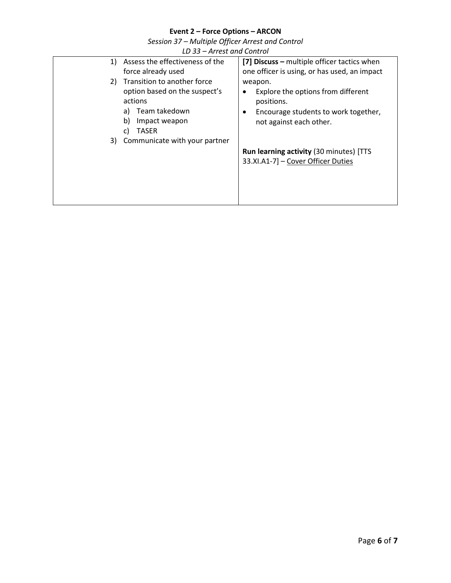| Event 2 – Force Options – ARCON                  |
|--------------------------------------------------|
| Session 37 - Multiple Officer Arrest and Control |
| LD 33 – Arrest and Control                       |

|                      | LD 33 = ATTEST UND CONTUOI                                                                                                                                    |                                                                                                                                                  |
|----------------------|---------------------------------------------------------------------------------------------------------------------------------------------------------------|--------------------------------------------------------------------------------------------------------------------------------------------------|
| 1)                   | Assess the effectiveness of the<br>force already used                                                                                                         | [7] Discuss – multiple officer tactics when<br>one officer is using, or has used, an impact                                                      |
| 2)<br>b)<br>C)<br>3) | Transition to another force<br>option based on the suspect's<br>actions<br>a) Team takedown<br>Impact weapon<br><b>TASER</b><br>Communicate with your partner | weapon.<br>Explore the options from different<br>٠<br>positions.<br>Encourage students to work together,<br>$\bullet$<br>not against each other. |
|                      |                                                                                                                                                               | <b>Run learning activity (30 minutes) [TTS</b><br>33.XI.A1-7] - Cover Officer Duties                                                             |